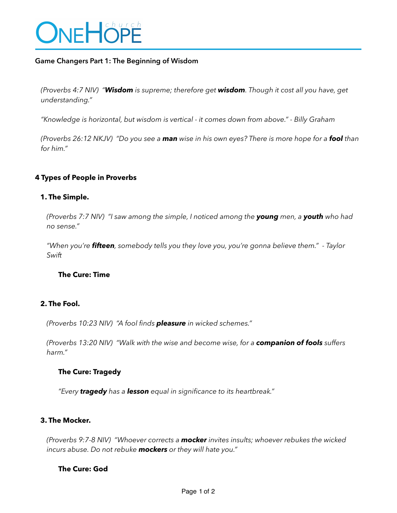

## **Game Changers Part 1: The Beginning of Wisdom**

*(Proverbs 4:7 NIV) "Wisdom is supreme; therefore get wisdom. Though it cost all you have, get understanding."* 

*"Knowledge is horizontal, but wisdom is vertical - it comes down from above." - Billy Graham* 

*(Proverbs 26:12 NKJV) "Do you see a man wise in his own eyes? There is more hope for a fool than for him."* 

## **4 Types of People in Proverbs**

#### **1. The Simple.**

*(Proverbs 7:7 NIV) "I saw among the simple, I noticed among the young men, a youth who had no sense."* 

*"When you're fifteen, somebody tells you they love you, you're gonna believe them." - Taylor Swift* 

#### **The Cure: Time**

# **2. The Fool.**

*(Proverbs 10:23 NIV) "A fool finds pleasure in wicked schemes."* 

*(Proverbs 13:20 NIV) "Walk with the wise and become wise, for a companion of fools suffers harm."* 

#### **The Cure: Tragedy**

*"Every tragedy has a lesson equal in significance to its heartbreak."* 

### **3. The Mocker.**

*(Proverbs 9:7-8 NIV) "Whoever corrects a mocker invites insults; whoever rebukes the wicked incurs abuse. Do not rebuke mockers or they will hate you."* 

### **The Cure: God**